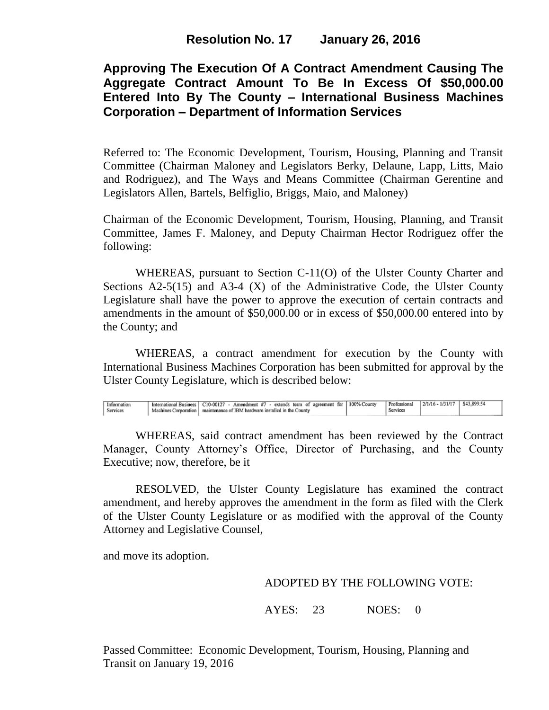## **Approving The Execution Of A Contract Amendment Causing The Aggregate Contract Amount To Be In Excess Of \$50,000.00 Entered Into By The County – International Business Machines Corporation – Department of Information Services**

Referred to: The Economic Development, Tourism, Housing, Planning and Transit Committee (Chairman Maloney and Legislators Berky, Delaune, Lapp, Litts, Maio and Rodriguez), and The Ways and Means Committee (Chairman Gerentine and Legislators Allen, Bartels, Belfiglio, Briggs, Maio, and Maloney)

Chairman of the Economic Development, Tourism, Housing, Planning, and Transit Committee, James F. Maloney, and Deputy Chairman Hector Rodriguez offer the following:

WHEREAS, pursuant to Section C-11(O) of the Ulster County Charter and Sections  $A2-5(15)$  and  $A3-4(X)$  of the Administrative Code, the Ulster County Legislature shall have the power to approve the execution of certain contracts and amendments in the amount of \$50,000.00 or in excess of \$50,000.00 entered into by the County; and

WHEREAS, a contract amendment for execution by the County with International Business Machines Corporation has been submitted for approval by the Ulster County Legislature, which is described below:

| $2/1/16 - 1/31/17$ \$43,899.54<br>Professional<br>International Business   C10-00127 - Amendment #7 - extends term of agreement for   100% County<br>Information<br>Machines Corporation   maintenance of IBM hardware installed in the County<br>Services<br>Services |  |  |
|------------------------------------------------------------------------------------------------------------------------------------------------------------------------------------------------------------------------------------------------------------------------|--|--|
|------------------------------------------------------------------------------------------------------------------------------------------------------------------------------------------------------------------------------------------------------------------------|--|--|

WHEREAS, said contract amendment has been reviewed by the Contract Manager, County Attorney's Office, Director of Purchasing, and the County Executive; now, therefore, be it

RESOLVED, the Ulster County Legislature has examined the contract amendment, and hereby approves the amendment in the form as filed with the Clerk of the Ulster County Legislature or as modified with the approval of the County Attorney and Legislative Counsel,

and move its adoption.

## ADOPTED BY THE FOLLOWING VOTE:

AYES: 23 NOES: 0

Passed Committee: Economic Development, Tourism, Housing, Planning and Transit on January 19, 2016